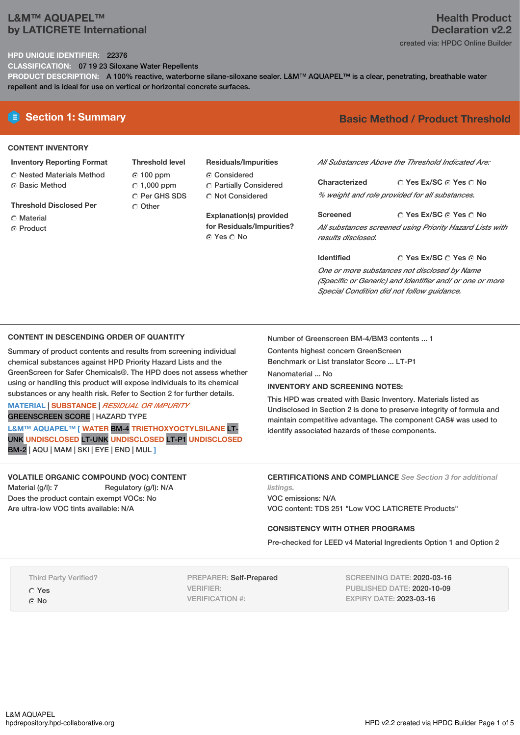# **L&M™ AQUAPEL™ by LATICRETE International**

## **Health Product Declaration v2.2** created via: HPDC Online Builder

### **HPD UNIQUE IDENTIFIER:** 22376

**CLASSIFICATION:** 07 19 23 Siloxane Water Repellents

**PRODUCT DESCRIPTION:** A 100% reactive, waterborne silane-siloxane sealer. L&M™ AQUAPEL™ is a clear, penetrating, breathable water repellent and is ideal for use on vertical or horizontal concrete surfaces.

## **CONTENT INVENTORY**

- **Inventory Reporting Format** Nested Materials Method
- **G** Basic Method
- **Threshold Disclosed Per**
- C Material
- **C** Product
- **Threshold level** 100 ppm  $\degree$  1,000 ppm Per GHS SDS O Other
- **Residuals/Impurities** Considered Partially Considered C Not Considered

**Explanation(s) provided for Residuals/Impurities?** © Yes ∩ No

# **E** Section 1: Summary **Basic** Method / Product Threshold

*All Substances Above the Threshold Indicated Are:*

**Yes Ex/SC Yes No Characterized** *% weight and role provided for all substances.*

**Yes Ex/SC Yes No Screened** *All substances screened using Priority Hazard Lists with results disclosed.*

**Yes Ex/SC Yes No Identified** *One or more substances not disclosed by Name (Specific or Generic) and Identifier and/ or one or more Special Condition did not follow guidance.*

## **CONTENT IN DESCENDING ORDER OF QUANTITY**

Summary of product contents and results from screening individual chemical substances against HPD Priority Hazard Lists and the GreenScreen for Safer Chemicals®. The HPD does not assess whether using or handling this product will expose individuals to its chemical substances or any health risk. Refer to Section 2 for further details.

#### **MATERIAL** | **SUBSTANCE** | *RESIDUAL OR IMPURITY* GREENSCREEN SCORE | HAZARD TYPE

**L&M™ AQUAPEL™ [ WATER** BM-4 **TRIETHOXYOCTYLSILANE** LT-UNK **UNDISCLOSED** LT-UNK **UNDISCLOSED** LT-P1 **UNDISCLOSED** BM-2 | AQU | MAM | SKI | EYE | END | MUL **]**

**VOLATILE ORGANIC COMPOUND (VOC) CONTENT** Material (g/l): 7 Regulatory (g/l): N/A Does the product contain exempt VOCs: No Are ultra-low VOC tints available: N/A

Number of Greenscreen BM-4/BM3 contents ... 1

Contents highest concern GreenScreen

Benchmark or List translator Score ... LT-P1

Nanomaterial ... No

## **INVENTORY AND SCREENING NOTES:**

This HPD was created with Basic Inventory. Materials listed as Undisclosed in Section 2 is done to preserve integrity of formula and maintain competitive advantage. The component CAS# was used to identify associated hazards of these components.

**CERTIFICATIONS AND COMPLIANCE** *See Section 3 for additional listings.*

VOC emissions: N/A VOC content: TDS 251 "Low VOC LATICRETE Products"

#### **CONSISTENCY WITH OTHER PROGRAMS**

Pre-checked for LEED v4 Material Ingredients Option 1 and Option 2

Third Party Verified?

Yes

G<sub>No</sub>

PREPARER: Self-Prepared VERIFIER: VERIFICATION #:

SCREENING DATE: 2020-03-16 PUBLISHED DATE: 2020-10-09 EXPIRY DATE: 2023-03-16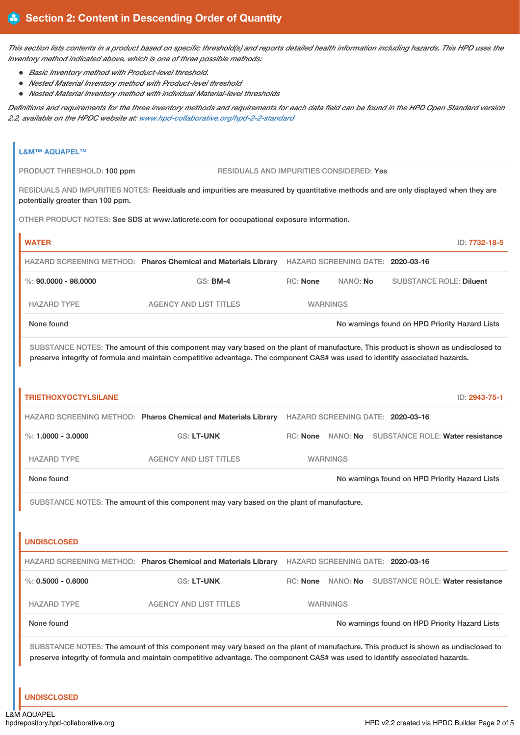This section lists contents in a product based on specific threshold(s) and reports detailed health information including hazards. This HPD uses the *inventory method indicated above, which is one of three possible methods:*

- *Basic Inventory method with Product-level threshold.*
- *Nested Material Inventory method with Product-level threshold*
- *Nested Material Inventory method with individual Material-level thresholds*

Definitions and requirements for the three inventory methods and requirements for each data field can be found in the HPD Open Standard version *2.2, available on the HPDC website at: [www.hpd-collaborative.org/hpd-2-2-standard](https://www.hpd-collaborative.org/hpd-2-2-standard)*

| <b>L&amp;M™ AQUAPEL™</b>                                                                                        |                                                                                                                                                                                                                                                                    |                                                                                                  |                   |                                   |                                                    |
|-----------------------------------------------------------------------------------------------------------------|--------------------------------------------------------------------------------------------------------------------------------------------------------------------------------------------------------------------------------------------------------------------|--------------------------------------------------------------------------------------------------|-------------------|-----------------------------------|----------------------------------------------------|
| PRODUCT THRESHOLD: 100 ppm                                                                                      | RESIDUALS AND IMPURITIES CONSIDERED: Yes                                                                                                                                                                                                                           |                                                                                                  |                   |                                   |                                                    |
| potentially greater than 100 ppm.                                                                               | RESIDUALS AND IMPURITIES NOTES: Residuals and impurities are measured by quantitative methods and are only displayed when they are                                                                                                                                 |                                                                                                  |                   |                                   |                                                    |
|                                                                                                                 | OTHER PRODUCT NOTES: See SDS at www.laticrete.com for occupational exposure information.                                                                                                                                                                           |                                                                                                  |                   |                                   |                                                    |
| <b>WATER</b>                                                                                                    |                                                                                                                                                                                                                                                                    |                                                                                                  |                   |                                   | ID: 7732-18-5                                      |
|                                                                                                                 | HAZARD SCREENING METHOD: Pharos Chemical and Materials Library HAZARD SCREENING DATE: 2020-03-16                                                                                                                                                                   |                                                                                                  |                   |                                   |                                                    |
| $\%$ : 90.0000 - 98.0000                                                                                        | GS: BM-4                                                                                                                                                                                                                                                           | <b>RC: None</b>                                                                                  | NANO: No          |                                   | <b>SUBSTANCE ROLE: Diluent</b>                     |
| <b>HAZARD TYPE</b>                                                                                              | <b>AGENCY AND LIST TITLES</b>                                                                                                                                                                                                                                      |                                                                                                  | <b>WARNINGS</b>   |                                   |                                                    |
| None found                                                                                                      |                                                                                                                                                                                                                                                                    |                                                                                                  |                   |                                   | No warnings found on HPD Priority Hazard Lists     |
|                                                                                                                 | SUBSTANCE NOTES: The amount of this component may vary based on the plant of manufacture. This product is shown as undisclosed to<br>preserve integrity of formula and maintain competitive advantage. The component CAS# was used to identify associated hazards. |                                                                                                  |                   |                                   |                                                    |
| <b>TRIETHOXYOCTYLSILANE</b>                                                                                     |                                                                                                                                                                                                                                                                    |                                                                                                  |                   |                                   | ID: 2943-75-1                                      |
|                                                                                                                 |                                                                                                                                                                                                                                                                    | HAZARD SCREENING METHOD: Pharos Chemical and Materials Library HAZARD SCREENING DATE: 2020-03-16 |                   |                                   |                                                    |
| %: $1,0000 - 3,0000$                                                                                            | <b>GS: LT-UNK</b>                                                                                                                                                                                                                                                  |                                                                                                  |                   |                                   | RC: None NANO: No SUBSTANCE ROLE: Water resistance |
| <b>HAZARD TYPE</b>                                                                                              | <b>AGENCY AND LIST TITLES</b>                                                                                                                                                                                                                                      |                                                                                                  | <b>WARNINGS</b>   |                                   |                                                    |
| None found                                                                                                      |                                                                                                                                                                                                                                                                    |                                                                                                  |                   |                                   | No warnings found on HPD Priority Hazard Lists     |
| SUBSTANCE NOTES: The amount of this component may vary based on the plant of manufacture.<br><b>UNDISCLOSED</b> |                                                                                                                                                                                                                                                                    |                                                                                                  |                   |                                   |                                                    |
|                                                                                                                 | HAZARD SCREENING METHOD: Pharos Chemical and Materials Library                                                                                                                                                                                                     |                                                                                                  |                   | HAZARD SCREENING DATE: 2020-03-16 |                                                    |
| $\%$ : 0.5000 - 0.6000                                                                                          | <b>GS: LT-UNK</b>                                                                                                                                                                                                                                                  |                                                                                                  | RC: None NANO: No |                                   | <b>SUBSTANCE ROLE: Water resistance</b>            |
| <b>HAZARD TYPE</b>                                                                                              | <b>AGENCY AND LIST TITLES</b>                                                                                                                                                                                                                                      |                                                                                                  | <b>WARNINGS</b>   |                                   |                                                    |
| None found                                                                                                      |                                                                                                                                                                                                                                                                    |                                                                                                  |                   |                                   | No warnings found on HPD Priority Hazard Lists     |
| <b>UNDISCLOSED</b>                                                                                              | SUBSTANCE NOTES: The amount of this component may vary based on the plant of manufacture. This product is shown as undisclosed to<br>preserve integrity of formula and maintain competitive advantage. The component CAS# was used to identify associated hazards. |                                                                                                  |                   |                                   |                                                    |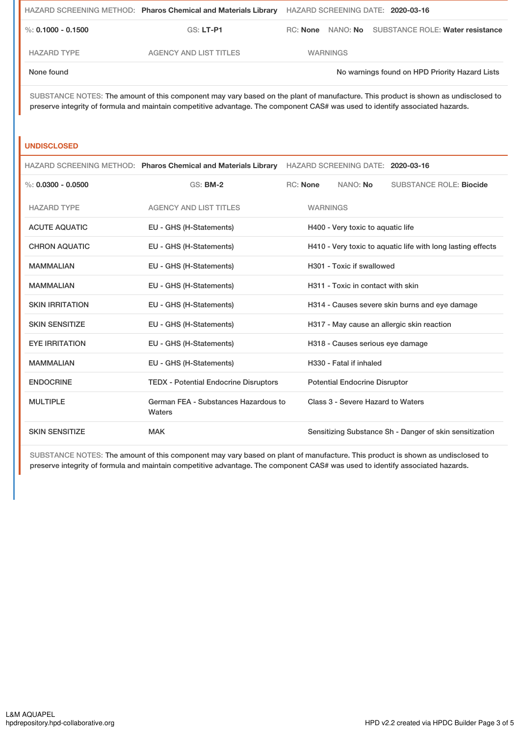|                    | HAZARD SCREENING METHOD: Pharos Chemical and Materials Library HAZARD SCREENING DATE: 2020-03-16 |                 |                                                    |
|--------------------|--------------------------------------------------------------------------------------------------|-----------------|----------------------------------------------------|
| %: 0.1000 - 0.1500 | GS: LT-P1                                                                                        |                 | RC: None NANO: No SUBSTANCE ROLE: Water resistance |
| <b>HAZARD TYPE</b> | AGENCY AND LIST TITLES                                                                           | <b>WARNINGS</b> |                                                    |
| None found         |                                                                                                  |                 | No warnings found on HPD Priority Hazard Lists     |

SUBSTANCE NOTES: The amount of this component may vary based on the plant of manufacture. This product is shown as undisclosed to preserve integrity of formula and maintain competitive advantage. The component CAS# was used to identify associated hazards.

#### **UNDISCLOSED**

|                        | HAZARD SCREENING METHOD: Pharos Chemical and Materials Library |                                                             |                 | HAZARD SCREENING DATE: 2020-03-16    |                                                         |
|------------------------|----------------------------------------------------------------|-------------------------------------------------------------|-----------------|--------------------------------------|---------------------------------------------------------|
| %: $0.0300 - 0.0500$   | <b>GS: BM-2</b>                                                |                                                             | RC: None        | NANO: No                             | <b>SUBSTANCE ROLE: Biocide</b>                          |
| <b>HAZARD TYPE</b>     | <b>AGENCY AND LIST TITLES</b>                                  |                                                             | <b>WARNINGS</b> |                                      |                                                         |
| <b>ACUTE AQUATIC</b>   | EU - GHS (H-Statements)                                        |                                                             |                 | H400 - Very toxic to aquatic life    |                                                         |
| <b>CHRON AQUATIC</b>   | EU - GHS (H-Statements)                                        | H410 - Very toxic to aquatic life with long lasting effects |                 |                                      |                                                         |
| <b>MAMMALIAN</b>       | EU - GHS (H-Statements)                                        |                                                             |                 | H301 - Toxic if swallowed            |                                                         |
| <b>MAMMALIAN</b>       | EU - GHS (H-Statements)                                        |                                                             |                 | H311 - Toxic in contact with skin    |                                                         |
| <b>SKIN IRRITATION</b> | EU - GHS (H-Statements)                                        |                                                             |                 |                                      | H314 - Causes severe skin burns and eye damage          |
| <b>SKIN SENSITIZE</b>  | EU - GHS (H-Statements)                                        |                                                             |                 |                                      | H317 - May cause an allergic skin reaction              |
| <b>EYE IRRITATION</b>  | EU - GHS (H-Statements)                                        |                                                             |                 | H318 - Causes serious eye damage     |                                                         |
| <b>MAMMALIAN</b>       | EU - GHS (H-Statements)                                        |                                                             |                 | H330 - Fatal if inhaled              |                                                         |
| <b>ENDOCRINE</b>       | <b>TEDX - Potential Endocrine Disruptors</b>                   |                                                             |                 | <b>Potential Endocrine Disruptor</b> |                                                         |
| <b>MULTIPLE</b>        | German FEA - Substances Hazardous to<br>Waters                 |                                                             |                 | Class 3 - Severe Hazard to Waters    |                                                         |
| <b>SKIN SENSITIZE</b>  | <b>MAK</b>                                                     |                                                             |                 |                                      | Sensitizing Substance Sh - Danger of skin sensitization |

SUBSTANCE NOTES: The amount of this component may vary based on plant of manufacture. This product is shown as undisclosed to preserve integrity of formula and maintain competitive advantage. The component CAS# was used to identify associated hazards.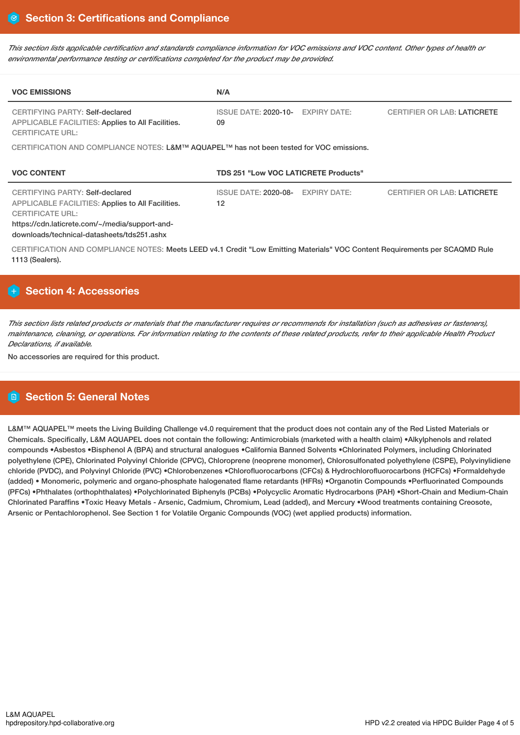This section lists applicable certification and standards compliance information for VOC emissions and VOC content. Other types of health or *environmental performance testing or certifications completed for the product may be provided.*

| <b>VOC EMISSIONS</b>                                                                                                                                                                                                   | N/A                                  |                     |                                    |  |  |
|------------------------------------------------------------------------------------------------------------------------------------------------------------------------------------------------------------------------|--------------------------------------|---------------------|------------------------------------|--|--|
| CERTIFYING PARTY: Self-declared<br><b>APPLICABLE FACILITIES: Applies to All Facilities.</b><br><b>CERTIFICATE URL:</b>                                                                                                 | ISSUE DATE: 2020-10-<br>09           | <b>EXPIRY DATE:</b> | <b>CERTIFIER OR LAB: LATICRETE</b> |  |  |
| CERTIFICATION AND COMPLIANCE NOTES: L&M™ AQUAPEL™ has not been tested for VOC emissions.                                                                                                                               |                                      |                     |                                    |  |  |
| <b>VOC CONTENT</b>                                                                                                                                                                                                     | TDS 251 "Low VOC LATICRETE Products" |                     |                                    |  |  |
| CERTIFYING PARTY: Self-declared<br><b>APPLICABLE FACILITIES: Applies to All Facilities.</b><br><b>CERTIFICATE URL:</b><br>https://cdn.laticrete.com/~/media/support-and-<br>downloads/technical-datasheets/tds251.ashx | ISSUE DATE: 2020-08-<br>12           | <b>EXPIRY DATE:</b> | <b>CERTIFIER OR LAB: LATICRETE</b> |  |  |
| CERTIFICATION AND COMPLIANCE NOTES: Meets LEED v4.1 Credit "Low Emitting Materials" VOC Content Requirements per SCAQMD Rule<br>1113 (Sealers).                                                                        |                                      |                     |                                    |  |  |

# **Section 4: Accessories**

This section lists related products or materials that the manufacturer requires or recommends for installation (such as adhesives or fasteners), maintenance, cleaning, or operations. For information relating to the contents of these related products, refer to their applicable Health Product *Declarations, if available.*

No accessories are required for this product.

# **Section 5: General Notes**

L&M™ AQUAPEL<sup>™</sup> meets the Living Building Challenge v4.0 requirement that the product does not contain any of the Red Listed Materials or Chemicals. Specifically, L&M AQUAPEL does not contain the following: Antimicrobials (marketed with a health claim) •Alkylphenols and related compounds •Asbestos •Bisphenol A (BPA) and structural analogues •California Banned Solvents •Chlorinated Polymers, including Chlorinated polyethylene (CPE), Chlorinated Polyvinyl Chloride (CPVC), Chloroprene (neoprene monomer), Chlorosulfonated polyethylene (CSPE), Polyvinylidiene chloride (PVDC), and Polyvinyl Chloride (PVC) •Chlorobenzenes •Chlorofluorocarbons (CFCs) & Hydrochlorofluorocarbons (HCFCs) •Formaldehyde (added) • Monomeric, polymeric and organo-phosphate halogenated flame retardants (HFRs) •Organotin Compounds •Perfluorinated Compounds (PFCs) •Phthalates (orthophthalates) •Polychlorinated Biphenyls (PCBs) •Polycyclic Aromatic Hydrocarbons (PAH) •Short-Chain and Medium-Chain Chlorinated Paraffins •Toxic Heavy Metals - Arsenic, Cadmium, Chromium, Lead (added), and Mercury •Wood treatments containing Creosote, Arsenic or Pentachlorophenol. See Section 1 for Volatile Organic Compounds (VOC) (wet applied products) information.